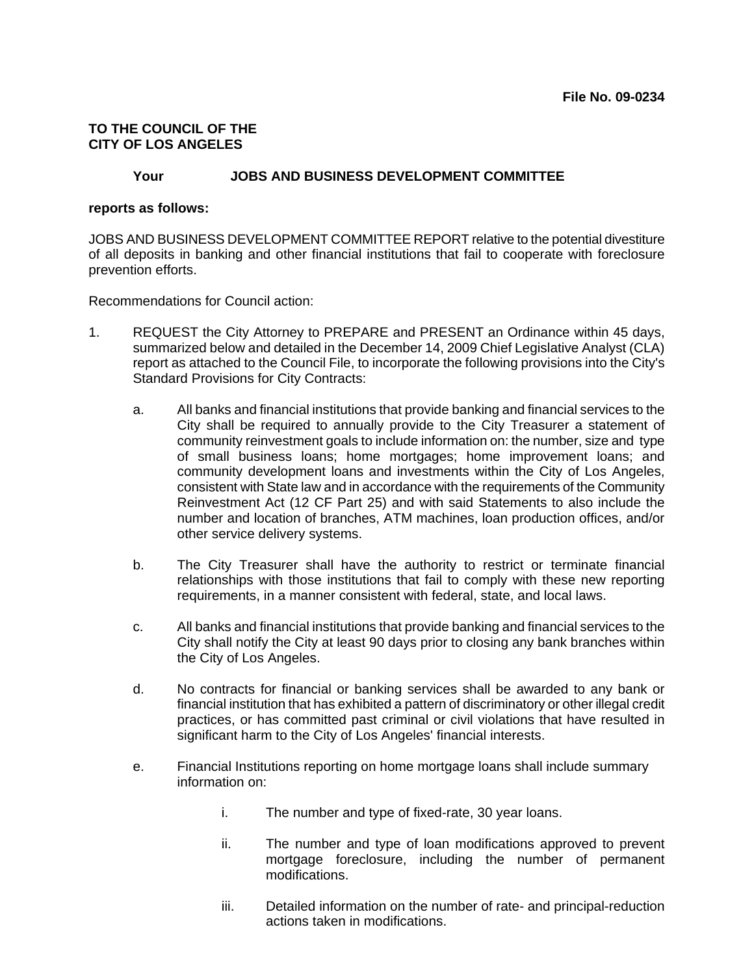## **TO THE COUNCIL OF THE CITY OF LOS ANGELES**

### **Your JOBS AND BUSINESS DEVELOPMENT COMMITTEE**

#### **reports as follows:**

JOBS AND BUSINESS DEVELOPMENT COMMITTEE REPORT relative to the potential divestiture of all deposits in banking and other financial institutions that fail to cooperate with foreclosure prevention efforts.

Recommendations for Council action:

- 1. REQUEST the City Attorney to PREPARE and PRESENT an Ordinance within 45 days, summarized below and detailed in the December 14, 2009 Chief Legislative Analyst (CLA) report as attached to the Council File, to incorporate the following provisions into the City's Standard Provisions for City Contracts:
	- a. All banks and financial institutions that provide banking and financial services to the City shall be required to annually provide to the City Treasurer a statement of community reinvestment goals to include information on: the number, size and type of small business loans; home mortgages; home improvement loans; and community development loans and investments within the City of Los Angeles, consistent with State law and in accordance with the requirements of the Community Reinvestment Act (12 CF Part 25) and with said Statements to also include the number and location of branches, ATM machines, loan production offices, and/or other service delivery systems.
	- b. The City Treasurer shall have the authority to restrict or terminate financial relationships with those institutions that fail to comply with these new reporting requirements, in a manner consistent with federal, state, and local laws.
	- c. All banks and financial institutions that provide banking and financial services to the City shall notify the City at least 90 days prior to closing any bank branches within the City of Los Angeles.
	- d. No contracts for financial or banking services shall be awarded to any bank or financial institution that has exhibited a pattern of discriminatory or other illegal credit practices, or has committed past criminal or civil violations that have resulted in significant harm to the City of Los Angeles' financial interests.
	- e. Financial Institutions reporting on home mortgage loans shall include summary information on:
		- i. The number and type of fixed-rate, 30 year loans.
		- ii. The number and type of loan modifications approved to prevent mortgage foreclosure, including the number of permanent modifications.
		- iii. Detailed information on the number of rate- and principal-reduction actions taken in modifications.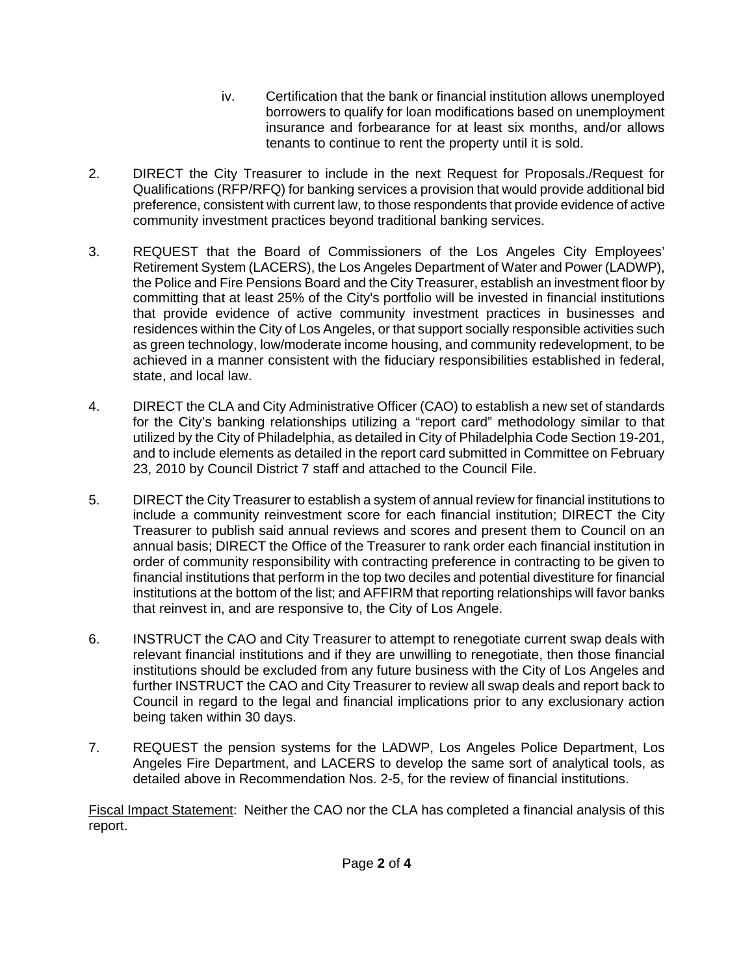- iv. Certification that the bank or financial institution allows unemployed borrowers to qualify for loan modifications based on unemployment insurance and forbearance for at least six months, and/or allows tenants to continue to rent the property until it is sold.
- 2. DIRECT the City Treasurer to include in the next Request for Proposals./Request for Qualifications (RFP/RFQ) for banking services a provision that would provide additional bid preference, consistent with current law, to those respondents that provide evidence of active community investment practices beyond traditional banking services.
- 3. REQUEST that the Board of Commissioners of the Los Angeles City Employees' Retirement System (LACERS), the Los Angeles Department of Water and Power (LADWP), the Police and Fire Pensions Board and the City Treasurer, establish an investment floor by committing that at least 25% of the City's portfolio will be invested in financial institutions that provide evidence of active community investment practices in businesses and residences within the City of Los Angeles, or that support socially responsible activities such as green technology, low/moderate income housing, and community redevelopment, to be achieved in a manner consistent with the fiduciary responsibilities established in federal, state, and local law.
- 4. DIRECT the CLA and City Administrative Officer (CAO) to establish a new set of standards for the City's banking relationships utilizing a "report card" methodology similar to that utilized by the City of Philadelphia, as detailed in City of Philadelphia Code Section 19-201, and to include elements as detailed in the report card submitted in Committee on February 23, 2010 by Council District 7 staff and attached to the Council File.
- 5. DIRECT the City Treasurer to establish a system of annual review for financial institutions to include a community reinvestment score for each financial institution; DIRECT the City Treasurer to publish said annual reviews and scores and present them to Council on an annual basis; DIRECT the Office of the Treasurer to rank order each financial institution in order of community responsibility with contracting preference in contracting to be given to financial institutions that perform in the top two deciles and potential divestiture for financial institutions at the bottom of the list; and AFFIRM that reporting relationships will favor banks that reinvest in, and are responsive to, the City of Los Angele.
- 6. INSTRUCT the CAO and City Treasurer to attempt to renegotiate current swap deals with relevant financial institutions and if they are unwilling to renegotiate, then those financial institutions should be excluded from any future business with the City of Los Angeles and further INSTRUCT the CAO and City Treasurer to review all swap deals and report back to Council in regard to the legal and financial implications prior to any exclusionary action being taken within 30 days.
- 7. REQUEST the pension systems for the LADWP, Los Angeles Police Department, Los Angeles Fire Department, and LACERS to develop the same sort of analytical tools, as detailed above in Recommendation Nos. 2-5, for the review of financial institutions.

Fiscal Impact Statement: Neither the CAO nor the CLA has completed a financial analysis of this report.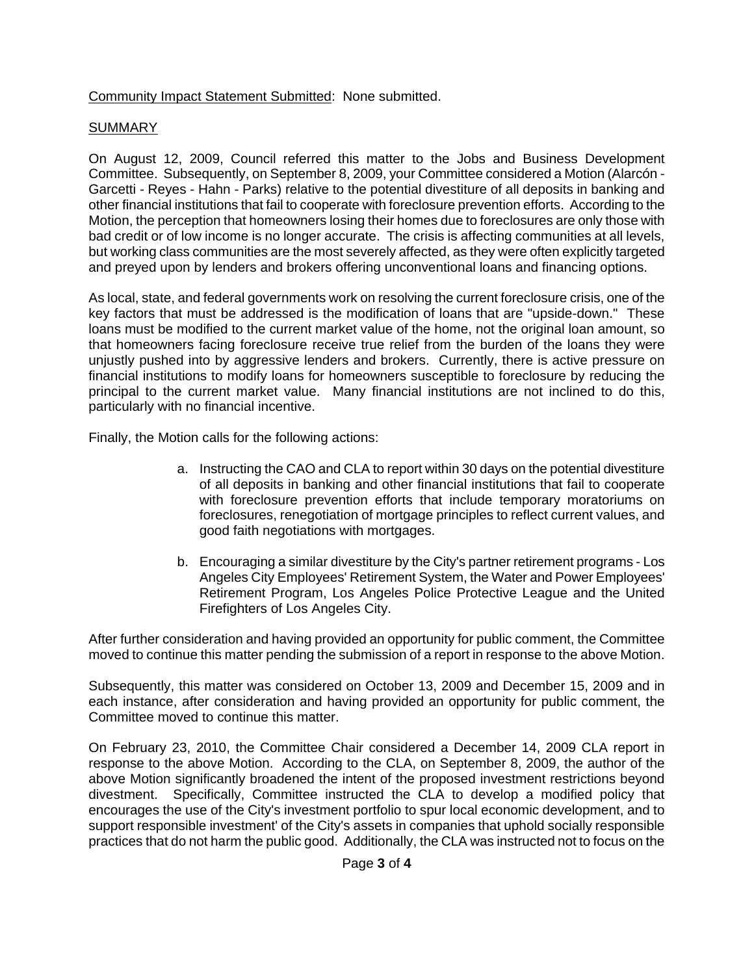Community Impact Statement Submitted: None submitted.

# SUMMARY

On August 12, 2009, Council referred this matter to the Jobs and Business Development Committee. Subsequently, on September 8, 2009, your Committee considered a Motion (Alarcón - Garcetti - Reyes - Hahn - Parks) relative to the potential divestiture of all deposits in banking and other financial institutions that fail to cooperate with foreclosure prevention efforts. According to the Motion, the perception that homeowners losing their homes due to foreclosures are only those with bad credit or of low income is no longer accurate. The crisis is affecting communities at all levels, but working class communities are the most severely affected, as they were often explicitly targeted and preyed upon by lenders and brokers offering unconventional loans and financing options.

As local, state, and federal governments work on resolving the current foreclosure crisis, one of the key factors that must be addressed is the modification of loans that are "upside-down." These loans must be modified to the current market value of the home, not the original loan amount, so that homeowners facing foreclosure receive true relief from the burden of the loans they were unjustly pushed into by aggressive lenders and brokers. Currently, there is active pressure on financial institutions to modify loans for homeowners susceptible to foreclosure by reducing the principal to the current market value. Many financial institutions are not inclined to do this, particularly with no financial incentive.

Finally, the Motion calls for the following actions:

- a. Instructing the CAO and CLA to report within 30 days on the potential divestiture of all deposits in banking and other financial institutions that fail to cooperate with foreclosure prevention efforts that include temporary moratoriums on foreclosures, renegotiation of mortgage principles to reflect current values, and good faith negotiations with mortgages.
- b. Encouraging a similar divestiture by the City's partner retirement programs Los Angeles City Employees' Retirement System, the Water and Power Employees' Retirement Program, Los Angeles Police Protective League and the United Firefighters of Los Angeles City.

After further consideration and having provided an opportunity for public comment, the Committee moved to continue this matter pending the submission of a report in response to the above Motion.

Subsequently, this matter was considered on October 13, 2009 and December 15, 2009 and in each instance, after consideration and having provided an opportunity for public comment, the Committee moved to continue this matter.

On February 23, 2010, the Committee Chair considered a December 14, 2009 CLA report in response to the above Motion. According to the CLA, on September 8, 2009, the author of the above Motion significantly broadened the intent of the proposed investment restrictions beyond divestment. Specifically, Committee instructed the CLA to develop a modified policy that encourages the use of the City's investment portfolio to spur local economic development, and to support responsible investment' of the City's assets in companies that uphold socially responsible practices that do not harm the public good. Additionally, the CLA was instructed not to focus on the